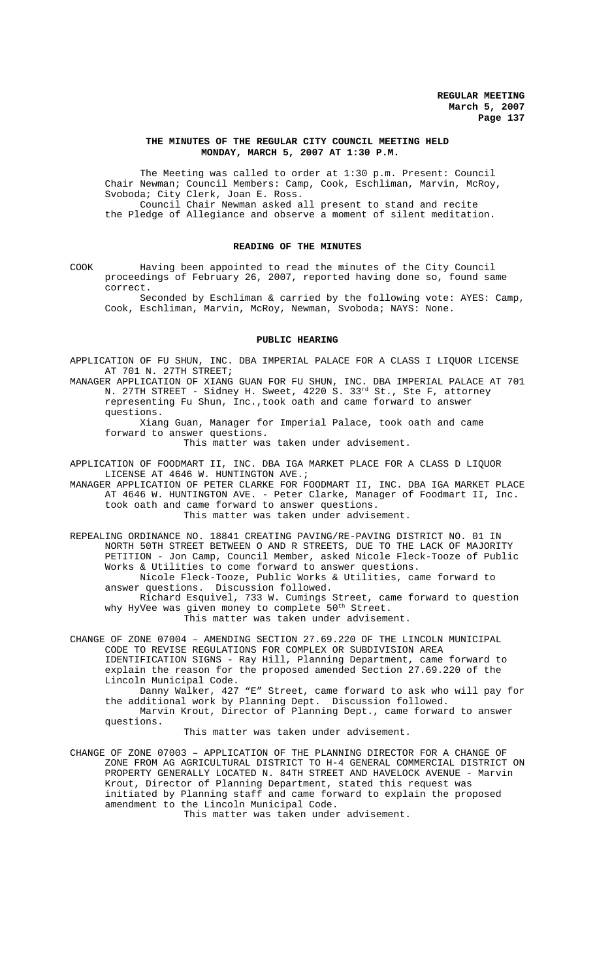## **THE MINUTES OF THE REGULAR CITY COUNCIL MEETING HELD MONDAY, MARCH 5, 2007 AT 1:30 P.M.**

The Meeting was called to order at 1:30 p.m. Present: Council Chair Newman; Council Members: Camp, Cook, Eschliman, Marvin, McRoy, Svoboda; City Clerk, Joan E. Ross. Council Chair Newman asked all present to stand and recite the Pledge of Allegiance and observe a moment of silent meditation.

## **READING OF THE MINUTES**

COOK Having been appointed to read the minutes of the City Council proceedings of February 26, 2007, reported having done so, found same correct.

Seconded by Eschliman & carried by the following vote: AYES: Camp, Cook, Eschliman, Marvin, McRoy, Newman, Svoboda; NAYS: None.

#### **PUBLIC HEARING**

APPLICATION OF FU SHUN, INC. DBA IMPERIAL PALACE FOR A CLASS I LIQUOR LICENSE AT 701 N. 27TH STREET;

MANAGER APPLICATION OF XIANG GUAN FOR FU SHUN, INC. DBA IMPERIAL PALACE AT 701 N. 27TH STREET - Sidney H. Sweet, 4220 S. 33<sup>rd</sup> St., Ste F, attorney representing Fu Shun, Inc.,took oath and came forward to answer questions.

Xiang Guan, Manager for Imperial Palace, took oath and came forward to answer questions.

This matter was taken under advisement.

APPLICATION OF FOODMART II, INC. DBA IGA MARKET PLACE FOR A CLASS D LIQUOR LICENSE AT 4646 W. HUNTINGTON AVE.;

MANAGER APPLICATION OF PETER CLARKE FOR FOODMART II, INC. DBA IGA MARKET PLACE AT 4646 W. HUNTINGTON AVE. - Peter Clarke, Manager of Foodmart II, Inc. took oath and came forward to answer questions. This matter was taken under advisement.

REPEALING ORDINANCE NO. 18841 CREATING PAVING/RE-PAVING DISTRICT NO. 01 IN NORTH 50TH STREET BETWEEN O AND R STREETS, DUE TO THE LACK OF MAJORITY PETITION - Jon Camp, Council Member, asked Nicole Fleck-Tooze of Public Works & Utilities to come forward to answer questions. Nicole Fleck-Tooze, Public Works & Utilities, came forward to answer questions. Discussion followed. Richard Esquivel, 733 W. Cumings Street, came forward to question why HyVee was given money to complete  $50^{\text{th}}$  Street.

This matter was taken under advisement.

CHANGE OF ZONE 07004 – AMENDING SECTION 27.69.220 OF THE LINCOLN MUNICIPAL CODE TO REVISE REGULATIONS FOR COMPLEX OR SUBDIVISION AREA IDENTIFICATION SIGNS - Ray Hill, Planning Department, came forward to explain the reason for the proposed amended Section 27.69.220 of the Lincoln Municipal Code.

Danny Walker, 427 "E" Street, came forward to ask who will pay for the additional work by Planning Dept. Discussion followed. Marvin Krout, Director of Planning Dept., came forward to answer questions.

This matter was taken under advisement.

CHANGE OF ZONE 07003 – APPLICATION OF THE PLANNING DIRECTOR FOR A CHANGE OF ZONE FROM AG AGRICULTURAL DISTRICT TO H-4 GENERAL COMMERCIAL DISTRICT ON PROPERTY GENERALLY LOCATED N. 84TH STREET AND HAVELOCK AVENUE - Marvin Krout, Director of Planning Department, stated this request was initiated by Planning staff and came forward to explain the proposed amendment to the Lincoln Municipal Code.

This matter was taken under advisement.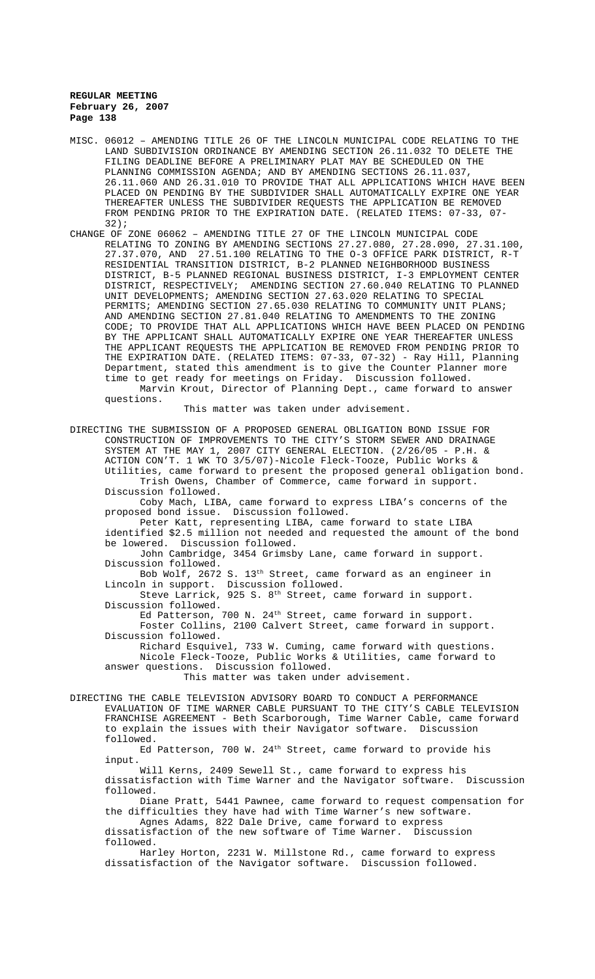- MISC. 06012 AMENDING TITLE 26 OF THE LINCOLN MUNICIPAL CODE RELATING TO THE LAND SUBDIVISION ORDINANCE BY AMENDING SECTION 26.11.032 TO DELETE THE FILING DEADLINE BEFORE A PRELIMINARY PLAT MAY BE SCHEDULED ON THE PLANNING COMMISSION AGENDA; AND BY AMENDING SECTIONS 26.11.037, 26.11.060 AND 26.31.010 TO PROVIDE THAT ALL APPLICATIONS WHICH HAVE BEEN PLACED ON PENDING BY THE SUBDIVIDER SHALL AUTOMATICALLY EXPIRE ONE YEAR THEREAFTER UNLESS THE SUBDIVIDER REQUESTS THE APPLICATION BE REMOVED FROM PENDING PRIOR TO THE EXPIRATION DATE. (RELATED ITEMS: 07-33, 07- 32);
- CHANGE OF ZONE 06062 AMENDING TITLE 27 OF THE LINCOLN MUNICIPAL CODE RELATING TO ZONING BY AMENDING SECTIONS 27.27.080, 27.28.090, 27.31.100, 27.37.070, AND 27.51.100 RELATING TO THE O-3 OFFICE PARK DISTRICT, R-T RESIDENTIAL TRANSITION DISTRICT, B-2 PLANNED NEIGHBORHOOD BUSINESS DISTRICT, B-5 PLANNED REGIONAL BUSINESS DISTRICT, I-3 EMPLOYMENT CENTER DISTRICT, RESPECTIVELY; AMENDING SECTION 27.60.040 RELATING TO PLANNED UNIT DEVELOPMENTS; AMENDING SECTION 27.63.020 RELATING TO SPECIAL PERMITS; AMENDING SECTION 27.65.030 RELATING TO COMMUNITY UNIT PLANS; AND AMENDING SECTION 27.81.040 RELATING TO AMENDMENTS TO THE ZONING CODE; TO PROVIDE THAT ALL APPLICATIONS WHICH HAVE BEEN PLACED ON PENDING BY THE APPLICANT SHALL AUTOMATICALLY EXPIRE ONE YEAR THEREAFTER UNLESS THE APPLICANT REQUESTS THE APPLICATION BE REMOVED FROM PENDING PRIOR TO THE EXPIRATION DATE. (RELATED ITEMS: 07-33, 07-32) - Ray Hill, Planning Department, stated this amendment is to give the Counter Planner more time to get ready for meetings on Friday. Discussion followed. Marvin Krout, Director of Planning Dept., came forward to answer questions.

This matter was taken under advisement.

DIRECTING THE SUBMISSION OF A PROPOSED GENERAL OBLIGATION BOND ISSUE FOR CONSTRUCTION OF IMPROVEMENTS TO THE CITY'S STORM SEWER AND DRAINAGE SYSTEM AT THE MAY 1, 2007 CITY GENERAL ELECTION. (2/26/05 - P.H. & ACTION CON'T. 1 WK TO 3/5/07)-Nicole Fleck-Tooze, Public Works & Utilities, came forward to present the proposed general obligation bond. Trish Owens, Chamber of Commerce, came forward in support. Discussion followed. Coby Mach, LIBA, came forward to express LIBA's concerns of the proposed bond issue. Discussion followed. Peter Katt, representing LIBA, came forward to state LIBA identified \$2.5 million not needed and requested the amount of the bond be lowered. Discussion followed. John Cambridge, 3454 Grimsby Lane, came forward in support. Discussion followed. Bob Wolf, 2672 S. 13<sup>th</sup> Street, came forward as an engineer in Lincoln in support. Discussion followed. Steve Larrick, 925 S. 8<sup>th</sup> Street, came forward in support. Discussion followed. Ed Patterson, 700 N. 24<sup>th</sup> Street, came forward in support. Foster Collins, 2100 Calvert Street, came forward in support. Discussion followed. Richard Esquivel, 733 W. Cuming, came forward with questions. Nicole Fleck-Tooze, Public Works & Utilities, came forward to answer questions. Discussion followed. This matter was taken under advisement. DIRECTING THE CABLE TELEVISION ADVISORY BOARD TO CONDUCT A PERFORMANCE EVALUATION OF TIME WARNER CABLE PURSUANT TO THE CITY'S CABLE TELEVISION FRANCHISE AGREEMENT - Beth Scarborough, Time Warner Cable, came forward to explain the issues with their Navigator software. Discussion followed. Ed Patterson, 700 W. 24<sup>th</sup> Street, came forward to provide his input. Will Kerns, 2409 Sewell St., came forward to express his dissatisfaction with Time Warner and the Navigator software. Discussion followed. Diane Pratt, 5441 Pawnee, came forward to request compensation for the difficulties they have had with Time Warner's new software. Agnes Adams, 822 Dale Drive, came forward to express dissatisfaction of the new software of Time Warner. Discussion followed. Harley Horton, 2231 W. Millstone Rd., came forward to express dissatisfaction of the Navigator software. Discussion followed.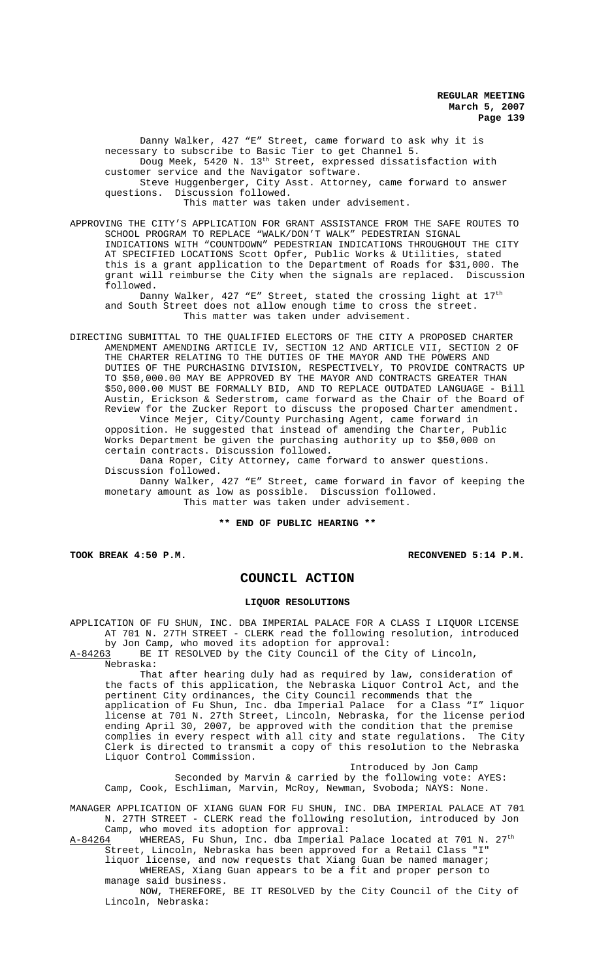Danny Walker, 427 "E" Street, came forward to ask why it is necessary to subscribe to Basic Tier to get Channel 5. Doug Meek, 5420 N. 13<sup>th</sup> Street, expressed dissatisfaction with customer service and the Navigator software. Steve Huggenberger, City Asst. Attorney, came forward to answer questions. Discussion followed.

This matter was taken under advisement.

APPROVING THE CITY'S APPLICATION FOR GRANT ASSISTANCE FROM THE SAFE ROUTES TO SCHOOL PROGRAM TO REPLACE "WALK/DON'T WALK" PEDESTRIAN SIGNAL INDICATIONS WITH "COUNTDOWN" PEDESTRIAN INDICATIONS THROUGHOUT THE CITY AT SPECIFIED LOCATIONS Scott Opfer, Public Works & Utilities, stated this is a grant application to the Department of Roads for \$31,000. The grant will reimburse the City when the signals are replaced. Discussion followed.

Danny Walker, 427 "E" Street, stated the crossing light at 17<sup>th</sup> and South Street does not allow enough time to cross the street. This matter was taken under advisement.

DIRECTING SUBMITTAL TO THE QUALIFIED ELECTORS OF THE CITY A PROPOSED CHARTER AMENDMENT AMENDING ARTICLE IV, SECTION 12 AND ARTICLE VII, SECTION 2 OF THE CHARTER RELATING TO THE DUTIES OF THE MAYOR AND THE POWERS AND DUTIES OF THE PURCHASING DIVISION, RESPECTIVELY, TO PROVIDE CONTRACTS UP TO \$50,000.00 MAY BE APPROVED BY THE MAYOR AND CONTRACTS GREATER THAN \$50,000.00 MUST BE FORMALLY BID, AND TO REPLACE OUTDATED LANGUAGE - Bill Austin, Erickson & Sederstrom, came forward as the Chair of the Board of Review for the Zucker Report to discuss the proposed Charter amendment. Vince Mejer, City/County Purchasing Agent, came forward in

opposition. He suggested that instead of amending the Charter, Public Works Department be given the purchasing authority up to \$50,000 on certain contracts. Discussion followed.

Dana Roper, City Attorney, came forward to answer questions. Discussion followed.

Danny Walker, 427 "E" Street, came forward in favor of keeping the monetary amount as low as possible. Discussion followed. This matter was taken under advisement.

**\*\* END OF PUBLIC HEARING \*\***

**TOOK BREAK 4:50 P.M. RECONVENED 5:14 P.M.**

# **COUNCIL ACTION**

#### **LIQUOR RESOLUTIONS**

APPLICATION OF FU SHUN, INC. DBA IMPERIAL PALACE FOR A CLASS I LIQUOR LICENSE AT 701 N. 27TH STREET - CLERK read the following resolution, introduced by Jon Camp, who moved its adoption for approval:

A-84263 BE IT RESOLVED by the City Council of the City of Lincoln, Nebraska:

That after hearing duly had as required by law, consideration of the facts of this application, the Nebraska Liquor Control Act, and the pertinent City ordinances, the City Council recommends that the application of Fu Shun, Inc. dba Imperial Palace for a Class "I" liquor license at 701 N. 27th Street, Lincoln, Nebraska, for the license period ending April 30, 2007, be approved with the condition that the premise complies in every respect with all city and state regulations. The City Clerk is directed to transmit a copy of this resolution to the Nebraska Liquor Control Commission.

Introduced by Jon Camp Seconded by Marvin & carried by the following vote: AYES: Camp, Cook, Eschliman, Marvin, McRoy, Newman, Svoboda; NAYS: None.

MANAGER APPLICATION OF XIANG GUAN FOR FU SHUN, INC. DBA IMPERIAL PALACE AT 701 N. 27TH STREET - CLERK read the following resolution, introduced by Jon Camp, who moved its adoption for approval:

 $A-84264$  WHEREAS, Fu Shun, Inc. dba Imperial Palace located at 701 N.  $27^{\text{th}}$ Street, Lincoln, Nebraska has been approved for a Retail Class "I" liquor license, and now requests that Xiang Guan be named manager;

WHEREAS, Xiang Guan appears to be a fit and proper person to manage said business.

NOW, THEREFORE, BE IT RESOLVED by the City Council of the City of Lincoln, Nebraska: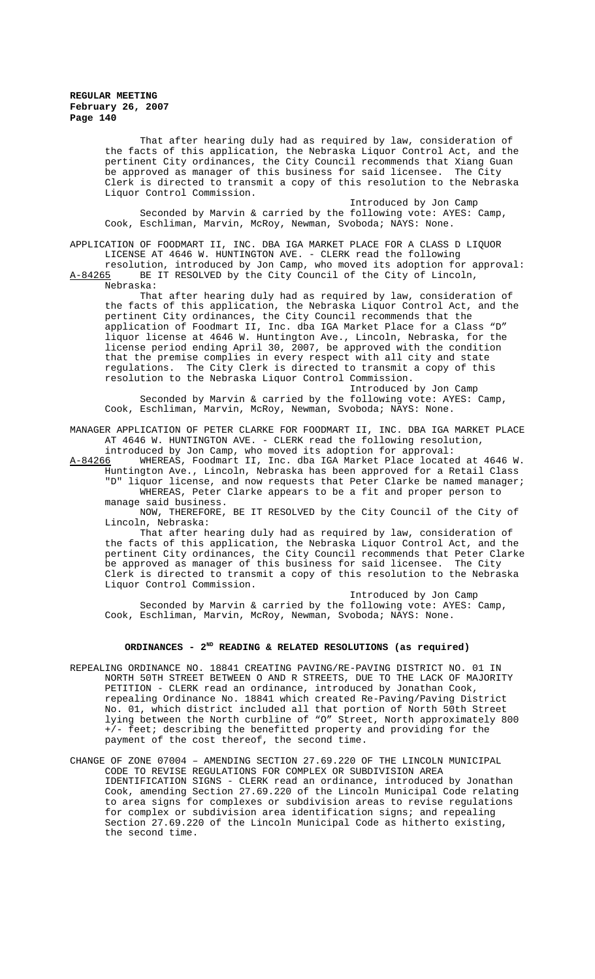That after hearing duly had as required by law, consideration of the facts of this application, the Nebraska Liquor Control Act, and the pertinent City ordinances, the City Council recommends that Xiang Guan be approved as manager of this business for said licensee. The City Clerk is directed to transmit a copy of this resolution to the Nebraska Liquor Control Commission.

Introduced by Jon Camp Seconded by Marvin & carried by the following vote: AYES: Camp, Cook, Eschliman, Marvin, McRoy, Newman, Svoboda; NAYS: None.

APPLICATION OF FOODMART II, INC. DBA IGA MARKET PLACE FOR A CLASS D LIQUOR LICENSE AT 4646 W. HUNTINGTON AVE. - CLERK read the following

resolution, introduced by Jon Camp, who moved its adoption for approval: A-84265 BE IT RESOLVED by the City Council of the City of Lincoln, Nebraska:

That after hearing duly had as required by law, consideration of the facts of this application, the Nebraska Liquor Control Act, and the pertinent City ordinances, the City Council recommends that the application of Foodmart II, Inc. dba IGA Market Place for a Class "D" liquor license at 4646 W. Huntington Ave., Lincoln, Nebraska, for the license period ending April 30, 2007, be approved with the condition that the premise complies in every respect with all city and state regulations. The City Clerk is directed to transmit a copy of this resolution to the Nebraska Liquor Control Commission.

Introduced by Jon Camp Seconded by Marvin & carried by the following vote: AYES: Camp, Cook, Eschliman, Marvin, McRoy, Newman, Svoboda; NAYS: None.

MANAGER APPLICATION OF PETER CLARKE FOR FOODMART II, INC. DBA IGA MARKET PLACE AT 4646 W. HUNTINGTON AVE. - CLERK read the following resolution,

introduced by Jon Camp, who moved its adoption for approval: A-84266 WHEREAS, Foodmart II, Inc. dba IGA Market Place located at 4646 W. Huntington Ave., Lincoln, Nebraska has been approved for a Retail Class "D" liquor license, and now requests that Peter Clarke be named manager; WHEREAS, Peter Clarke appears to be a fit and proper person to manage said business.

NOW, THEREFORE, BE IT RESOLVED by the City Council of the City of Lincoln, Nebraska:

That after hearing duly had as required by law, consideration of the facts of this application, the Nebraska Liquor Control Act, and the pertinent City ordinances, the City Council recommends that Peter Clarke be approved as manager of this business for said licensee. The City Clerk is directed to transmit a copy of this resolution to the Nebraska Liquor Control Commission.

Introduced by Jon Camp Seconded by Marvin & carried by the following vote: AYES: Camp, Cook, Eschliman, Marvin, McRoy, Newman, Svoboda; NAYS: None.

## **ORDINANCES - 2ND READING & RELATED RESOLUTIONS (as required)**

- REPEALING ORDINANCE NO. 18841 CREATING PAVING/RE-PAVING DISTRICT NO. 01 IN NORTH 50TH STREET BETWEEN O AND R STREETS, DUE TO THE LACK OF MAJORITY PETITION - CLERK read an ordinance, introduced by Jonathan Cook, repealing Ordinance No. 18841 which created Re-Paving/Paving District No. 01, which district included all that portion of North 50th Street lying between the North curbline of "O" Street, North approximately 800 +/- feet; describing the benefitted property and providing for the payment of the cost thereof, the second time.
- CHANGE OF ZONE 07004 AMENDING SECTION 27.69.220 OF THE LINCOLN MUNICIPAL CODE TO REVISE REGULATIONS FOR COMPLEX OR SUBDIVISION AREA IDENTIFICATION SIGNS - CLERK read an ordinance, introduced by Jonathan Cook, amending Section 27.69.220 of the Lincoln Municipal Code relating to area signs for complexes or subdivision areas to revise regulations for complex or subdivision area identification signs; and repealing Section 27.69.220 of the Lincoln Municipal Code as hitherto existing, the second time.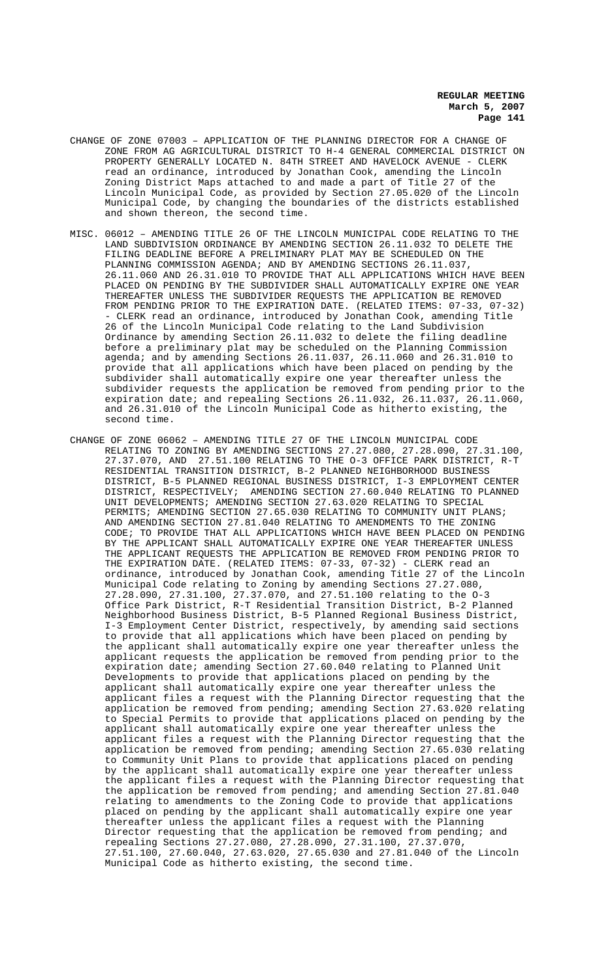- CHANGE OF ZONE 07003 APPLICATION OF THE PLANNING DIRECTOR FOR A CHANGE OF ZONE FROM AG AGRICULTURAL DISTRICT TO H-4 GENERAL COMMERCIAL DISTRICT ON PROPERTY GENERALLY LOCATED N. 84TH STREET AND HAVELOCK AVENUE - CLERK read an ordinance, introduced by Jonathan Cook, amending the Lincoln Zoning District Maps attached to and made a part of Title 27 of the Lincoln Municipal Code, as provided by Section 27.05.020 of the Lincoln Municipal Code, by changing the boundaries of the districts established and shown thereon, the second time.
- MISC. 06012 AMENDING TITLE 26 OF THE LINCOLN MUNICIPAL CODE RELATING TO THE LAND SUBDIVISION ORDINANCE BY AMENDING SECTION 26.11.032 TO DELETE THE FILING DEADLINE BEFORE A PRELIMINARY PLAT MAY BE SCHEDULED ON THE PLANNING COMMISSION AGENDA; AND BY AMENDING SECTIONS 26.11.037, 26.11.060 AND 26.31.010 TO PROVIDE THAT ALL APPLICATIONS WHICH HAVE BEEN PLACED ON PENDING BY THE SUBDIVIDER SHALL AUTOMATICALLY EXPIRE ONE YEAR THEREAFTER UNLESS THE SUBDIVIDER REQUESTS THE APPLICATION BE REMOVED FROM PENDING PRIOR TO THE EXPIRATION DATE. (RELATED ITEMS: 07-33, 07-32) - CLERK read an ordinance, introduced by Jonathan Cook, amending Title 26 of the Lincoln Municipal Code relating to the Land Subdivision Ordinance by amending Section 26.11.032 to delete the filing deadline before a preliminary plat may be scheduled on the Planning Commission agenda; and by amending Sections 26.11.037, 26.11.060 and 26.31.010 to provide that all applications which have been placed on pending by the subdivider shall automatically expire one year thereafter unless the subdivider requests the application be removed from pending prior to the expiration date; and repealing Sections 26.11.032, 26.11.037, 26.11.060, and 26.31.010 of the Lincoln Municipal Code as hitherto existing, the second time.
- CHANGE OF ZONE 06062 AMENDING TITLE 27 OF THE LINCOLN MUNICIPAL CODE RELATING TO ZONING BY AMENDING SECTIONS 27.27.080, 27.28.090, 27.31.100, 27.37.070, AND 27.51.100 RELATING TO THE O-3 OFFICE PARK DISTRICT, R-T RESIDENTIAL TRANSITION DISTRICT, B-2 PLANNED NEIGHBORHOOD BUSINESS DISTRICT, B-5 PLANNED REGIONAL BUSINESS DISTRICT, I-3 EMPLOYMENT CENTER DISTRICT, RESPECTIVELY; AMENDING SECTION 27.60.040 RELATING TO PLANNED UNIT DEVELOPMENTS; AMENDING SECTION 27.63.020 RELATING TO SPECIAL PERMITS; AMENDING SECTION 27.65.030 RELATING TO COMMUNITY UNIT PLANS; AND AMENDING SECTION 27.81.040 RELATING TO AMENDMENTS TO THE ZONING CODE; TO PROVIDE THAT ALL APPLICATIONS WHICH HAVE BEEN PLACED ON PENDING BY THE APPLICANT SHALL AUTOMATICALLY EXPIRE ONE YEAR THEREAFTER UNLESS THE APPLICANT REQUESTS THE APPLICATION BE REMOVED FROM PENDING PRIOR TO THE EXPIRATION DATE. (RELATED ITEMS: 07-33, 07-32) - CLERK read an ordinance, introduced by Jonathan Cook, amending Title 27 of the Lincoln Municipal Code relating to Zoning by amending Sections 27.27.080, 27.28.090, 27.31.100, 27.37.070, and 27.51.100 relating to the O-3 Office Park District, R-T Residential Transition District, B-2 Planned Neighborhood Business District, B-5 Planned Regional Business District, I-3 Employment Center District, respectively, by amending said sections to provide that all applications which have been placed on pending by the applicant shall automatically expire one year thereafter unless the applicant requests the application be removed from pending prior to the expiration date; amending Section 27.60.040 relating to Planned Unit Developments to provide that applications placed on pending by the applicant shall automatically expire one year thereafter unless the applicant files a request with the Planning Director requesting that the application be removed from pending; amending Section 27.63.020 relating to Special Permits to provide that applications placed on pending by the applicant shall automatically expire one year thereafter unless the applicant files a request with the Planning Director requesting that the application be removed from pending; amending Section 27.65.030 relating to Community Unit Plans to provide that applications placed on pending by the applicant shall automatically expire one year thereafter unless the applicant files a request with the Planning Director requesting that the application be removed from pending; and amending Section 27.81.040 relating to amendments to the Zoning Code to provide that applications placed on pending by the applicant shall automatically expire one year thereafter unless the applicant files a request with the Planning Director requesting that the application be removed from pending; and repealing Sections 27.27.080, 27.28.090, 27.31.100, 27.37.070, 27.51.100, 27.60.040, 27.63.020, 27.65.030 and 27.81.040 of the Lincoln Municipal Code as hitherto existing, the second time.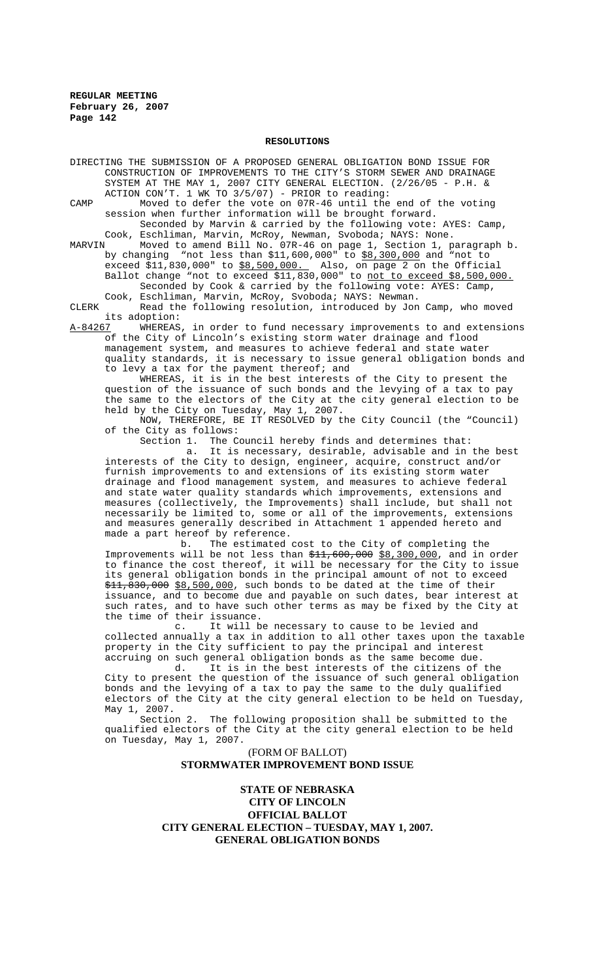#### **RESOLUTIONS**

DIRECTING THE SUBMISSION OF A PROPOSED GENERAL OBLIGATION BOND ISSUE FOR CONSTRUCTION OF IMPROVEMENTS TO THE CITY'S STORM SEWER AND DRAINAGE SYSTEM AT THE MAY 1, 2007 CITY GENERAL ELECTION. (2/26/05 - P.H. & ACTION CON'T. 1 WK TO 3/5/07) - PRIOR to reading:

CAMP Moved to defer the vote on 07R-46 until the end of the voting session when further information will be brought forward. Seconded by Marvin & carried by the following vote: AYES: Camp,

Cook, Eschliman, Marvin, McRoy, Newman, Svoboda; NAYS: None.<br>MARVIN Moved to amend Bill No. 07R-46 on page 1, Section 1, p

MARVIN Moved to amend Bill No. 07R-46 on page 1, Section 1, paragraph b. by changing "not less than \$11,600,000" to <u>\$8,300,000</u> and "not to exceed \$11,830,000" to \$8,500,000. Also, on page 2 on the Official Ballot change "not to exceed \$11,830,000" to <u>not to exceed \$8,500,000.</u> Seconded by Cook & carried by the following vote: AYES: Camp, Cook, Eschliman, Marvin, McRoy, Svoboda; NAYS: Newman.

CLERK Read the following resolution, introduced by Jon Camp, who moved its adoption:<br>A-84267 WHEREAS

A-84267 MHEREAS, in order to fund necessary improvements to and extensions of the City of Lincoln's existing storm water drainage and flood management system, and measures to achieve federal and state water quality standards, it is necessary to issue general obligation bonds and to levy a tax for the payment thereof; and

WHEREAS, it is in the best interests of the City to present the question of the issuance of such bonds and the levying of a tax to pay the same to the electors of the City at the city general election to be held by the City on Tuesday, May 1, 2007.

NOW, THEREFORE, BE IT RESOLVED by the City Council (the "Council) of the City as follows:

Section 1. The Council hereby finds and determines that:

 a. It is necessary, desirable, advisable and in the best interests of the City to design, engineer, acquire, construct and/or furnish improvements to and extensions of its existing storm water drainage and flood management system, and measures to achieve federal and state water quality standards which improvements, extensions and measures (collectively, the Improvements) shall include, but shall not necessarily be limited to, some or all of the improvements, extensions and measures generally described in Attachment 1 appended hereto and made a part hereof by reference.

 b. The estimated cost to the City of completing the Improvements will be not less than  $\frac{11}{511}$ , 600,000  $\frac{88}{58}$ , 300,000, and in order to finance the cost thereof, it will be necessary for the City to issue its general obligation bonds in the principal amount of not to exceed \$11,830,000 \$8,500,000, such bonds to be dated at the time of their issuance, and to become due and payable on such dates, bear interest at such rates, and to have such other terms as may be fixed by the City at the time of their issuance.

c. It will be necessary to cause to be levied and collected annually a tax in addition to all other taxes upon the taxable property in the City sufficient to pay the principal and interest accruing on such general obligation bonds as the same become due.<br>d. It is in the best interests of the citizens of

It is in the best interests of the citizens of the City to present the question of the issuance of such general obligation bonds and the levying of a tax to pay the same to the duly qualified electors of the City at the city general election to be held on Tuesday, May 1, 2007.

Section 2. The following proposition shall be submitted to the qualified electors of the City at the city general election to be held on Tuesday, May 1, 2007.

> (FORM OF BALLOT) **STORMWATER IMPROVEMENT BOND ISSUE**

**STATE OF NEBRASKA CITY OF LINCOLN OFFICIAL BALLOT CITY GENERAL ELECTION – TUESDAY, MAY 1, 2007. GENERAL OBLIGATION BONDS**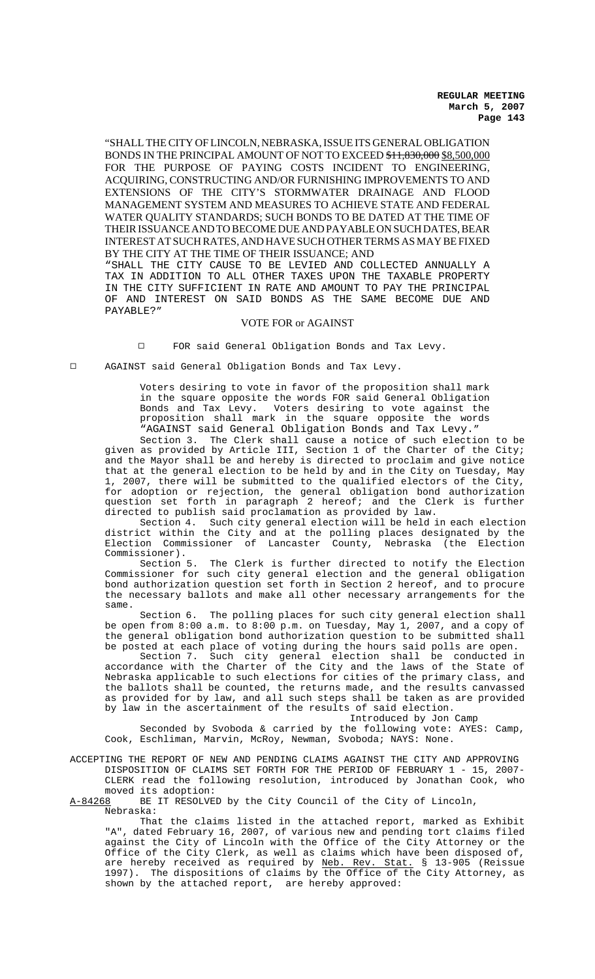"SHALL THE CITY OF LINCOLN, NEBRASKA, ISSUE ITS GENERAL OBLIGATION BONDS IN THE PRINCIPAL AMOUNT OF NOT TO EXCEED  $$11,830,000$   $$8,500,000$ FOR THE PURPOSE OF PAYING COSTS INCIDENT TO ENGINEERING, ACQUIRING, CONSTRUCTING AND/OR FURNISHING IMPROVEMENTS TO AND EXTENSIONS OF THE CITY'S STORMWATER DRAINAGE AND FLOOD MANAGEMENT SYSTEM AND MEASURES TO ACHIEVE STATE AND FEDERAL WATER QUALITY STANDARDS; SUCH BONDS TO BE DATED AT THE TIME OF THEIR ISSUANCE AND TO BECOME DUE AND PAYABLE ON SUCH DATES, BEAR INTEREST AT SUCH RATES, AND HAVE SUCH OTHER TERMS AS MAY BE FIXED BY THE CITY AT THE TIME OF THEIR ISSUANCE; AND

"SHALL THE CITY CAUSE TO BE LEVIED AND COLLECTED ANNUALLY A TAX IN ADDITION TO ALL OTHER TAXES UPON THE TAXABLE PROPERTY IN THE CITY SUFFICIENT IN RATE AND AMOUNT TO PAY THE PRINCIPAL OF AND INTEREST ON SAID BONDS AS THE SAME BECOME DUE AND PAYABLE?"

# VOTE FOR or AGAINST

Q FOR said General Obligation Bonds and Tax Levy.

Q AGAINST said General Obligation Bonds and Tax Levy.

Voters desiring to vote in favor of the proposition shall mark in the square opposite the words FOR said General Obligation Bonds and Tax Levy. Voters desiring to vote against the proposition shall mark in the square opposite the words "AGAINST said General Obligation Bonds and Tax Levy."

Section 3. The Clerk shall cause a notice of such election to be given as provided by Article III, Section 1 of the Charter of the City; and the Mayor shall be and hereby is directed to proclaim and give notice that at the general election to be held by and in the City on Tuesday, May 1, 2007, there will be submitted to the qualified electors of the City, for adoption or rejection, the general obligation bond authorization question set forth in paragraph 2 hereof; and the Clerk is further directed to publish said proclamation as provided by law.

Section 4. Such city general election will be held in each election district within the City and at the polling places designated by the Election Commissioner of Lancaster County, Nebraska (the Election Commissioner).

Section 5. The Clerk is further directed to notify the Election Commissioner for such city general election and the general obligation bond authorization question set forth in Section 2 hereof, and to procure the necessary ballots and make all other necessary arrangements for the same.

Section 6. The polling places for such city general election shall be open from 8:00 a.m. to 8:00 p.m. on Tuesday, May 1, 2007, and a copy of the general obligation bond authorization question to be submitted shall be posted at each place of voting during the hours said polls are open.

Section 7. Such city general election shall be conducted in accordance with the Charter of the City and the laws of the State of Nebraska applicable to such elections for cities of the primary class, and the ballots shall be counted, the returns made, and the results canvassed as provided for by law, and all such steps shall be taken as are provided by law in the ascertainment of the results of said election.

Introduced by Jon Camp

Seconded by Svoboda & carried by the following vote: AYES: Camp, Cook, Eschliman, Marvin, McRoy, Newman, Svoboda; NAYS: None.

ACCEPTING THE REPORT OF NEW AND PENDING CLAIMS AGAINST THE CITY AND APPROVING DISPOSITION OF CLAIMS SET FORTH FOR THE PERIOD OF FEBRUARY 1 - 15, 2007- CLERK read the following resolution, introduced by Jonathan Cook, who moved its adoption:

A-84268 BE IT RESOLVED by the City Council of the City of Lincoln, Nebraska:

That the claims listed in the attached report, marked as Exhibit "A", dated February 16, 2007, of various new and pending tort claims filed against the City of Lincoln with the Office of the City Attorney or the Office of the City Clerk, as well as claims which have been disposed of, are hereby received as required by Neb. Rev. Stat. § 13-905 (Reissue 1997). The dispositions of claims by the Office of the City Attorney, as shown by the attached report, are hereby approved: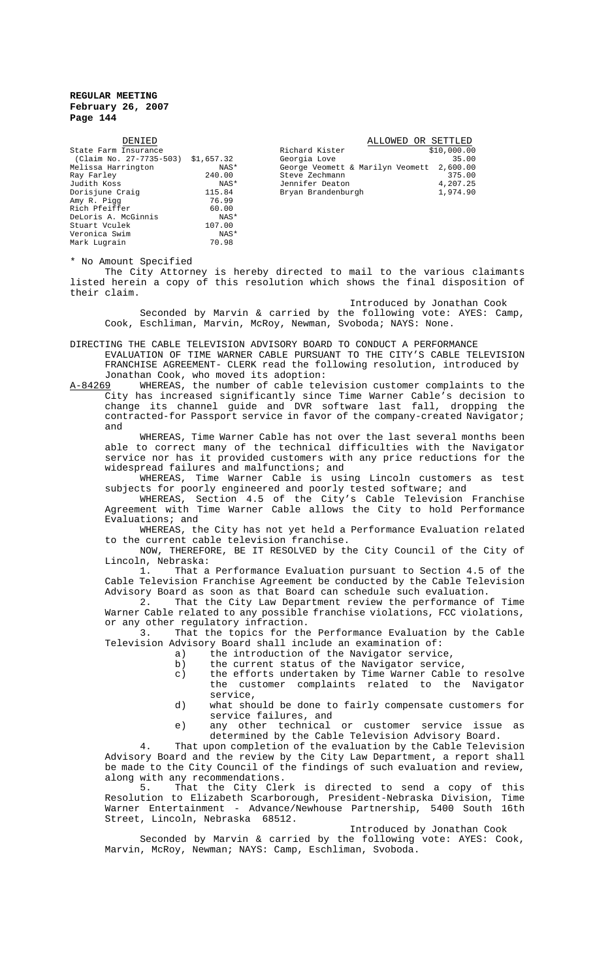| DENIED                  |            | ALLOWED OR SETTLED               |             |
|-------------------------|------------|----------------------------------|-------------|
| State Farm Insurance    |            | Richard Kister                   | \$10,000.00 |
| (Claim No. 27-7735-503) | \$1,657.32 | Georgia Love                     | 35.00       |
| Melissa Harrington      | NAS*       | George Veomett & Marilyn Veomett | 2,600.00    |
| Ray Farley              | 240.00     | Steve Zechmann                   | 375.00      |
| Judith Koss             | NAS*       | Jennifer Deaton                  | 4,207.25    |
| Dorisjune Craig         | 115.84     | Bryan Brandenburgh               | 1,974.90    |
| Amy R. Pigg             | 76.99      |                                  |             |
| Rich Pfeiffer           | 60.00      |                                  |             |
| DeLoris A. McGinnis     | NAS*       |                                  |             |
| Stuart Vculek           | 107.00     |                                  |             |
| Veronica Swim           | NAS*       |                                  |             |
| Mark Lugrain            | 70.98      |                                  |             |

\* No Amount Specified

The City Attorney is hereby directed to mail to the various claimants listed herein a copy of this resolution which shows the final disposition of their claim.

Introduced by Jonathan Cook

Seconded by Marvin & carried by the following vote: AYES: Camp, Cook, Eschliman, Marvin, McRoy, Newman, Svoboda; NAYS: None.

DIRECTING THE CABLE TELEVISION ADVISORY BOARD TO CONDUCT A PERFORMANCE EVALUATION OF TIME WARNER CABLE PURSUANT TO THE CITY'S CABLE TELEVISION FRANCHISE AGREEMENT- CLERK read the following resolution, introduced by Jonathan Cook, who moved its adoption:

A-84269 WHEREAS, the number of cable television customer complaints to the City has increased significantly since Time Warner Cable's decision to change its channel guide and DVR software last fall, dropping the contracted-for Passport service in favor of the company-created Navigator; and

WHEREAS, Time Warner Cable has not over the last several months been able to correct many of the technical difficulties with the Navigator service nor has it provided customers with any price reductions for the widespread failures and malfunctions; and

WHEREAS, Time Warner Cable is using Lincoln customers as test subjects for poorly engineered and poorly tested software; and

WHEREAS, Section 4.5 of the City's Cable Television Franchise Agreement with Time Warner Cable allows the City to hold Performance Evaluations; and

WHEREAS, the City has not yet held a Performance Evaluation related to the current cable television franchise.

NOW, THEREFORE, BE IT RESOLVED by the City Council of the City of Lincoln, Nebraska:

1. That a Performance Evaluation pursuant to Section 4.5 of the Cable Television Franchise Agreement be conducted by the Cable Television Advisory Board as soon as that Board can schedule such evaluation.

2. That the City Law Department review the performance of Time Warner Cable related to any possible franchise violations, FCC violations, or any other regulatory infraction.<br>3. That the topics for the

That the topics for the Performance Evaluation by the Cable Television Advisory Board shall include an examination of:

- a) the introduction of the Navigator service,
- b) the current status of the Navigator service,
- c) the efforts undertaken by Time Warner Cable to resolve the customer complaints related to the Navigator service,
- d) what should be done to fairly compensate customers for service failures, and
- e) any other technical or customer service issue as determined by the Cable Television Advisory Board.

4. That upon completion of the evaluation by the Cable Television Advisory Board and the review by the City Law Department, a report shall be made to the City Council of the findings of such evaluation and review, along with any recommendations.

5. That the City Clerk is directed to send a copy of this Resolution to Elizabeth Scarborough, President-Nebraska Division, Time Warner Entertainment - Advance/Newhouse Partnership, 5400 South 16th Street, Lincoln, Nebraska 68512.

#### Introduced by Jonathan Cook

Seconded by Marvin & carried by the following vote: AYES: Cook, Marvin, McRoy, Newman; NAYS: Camp, Eschliman, Svoboda.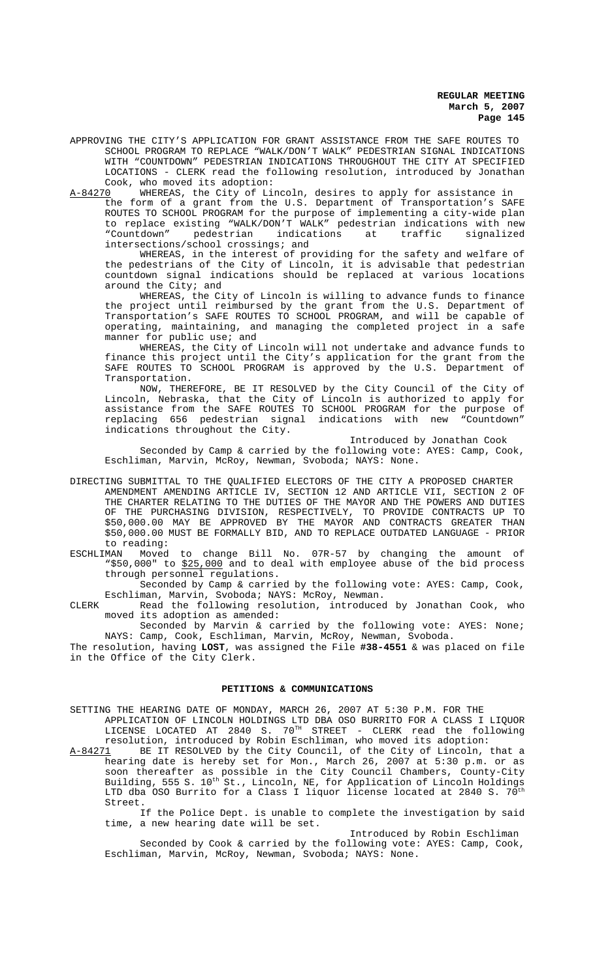APPROVING THE CITY'S APPLICATION FOR GRANT ASSISTANCE FROM THE SAFE ROUTES TO SCHOOL PROGRAM TO REPLACE "WALK/DON'T WALK" PEDESTRIAN SIGNAL INDICATIONS WITH "COUNTDOWN" PEDESTRIAN INDICATIONS THROUGHOUT THE CITY AT SPECIFIED LOCATIONS - CLERK read the following resolution, introduced by Jonathan Cook, who moved its adoption:<br>A-84270 WHEREAS, the City of Li

A-84270 MHEREAS, the City of Lincoln, desires to apply for assistance in the form of a grant from the U.S. Department of Transportation's SAFE ROUTES TO SCHOOL PROGRAM for the purpose of implementing a city-wide plan to replace existing "WALK/DON'T WALK" pedestrian indications with new "Countdown" pedestrian indications at traffic signalized intersections/school crossings; and

WHEREAS, in the interest of providing for the safety and welfare of the pedestrians of the City of Lincoln, it is advisable that pedestrian countdown signal indications should be replaced at various locations around the City; and

WHEREAS, the City of Lincoln is willing to advance funds to finance the project until reimbursed by the grant from the U.S. Department of Transportation's SAFE ROUTES TO SCHOOL PROGRAM, and will be capable of operating, maintaining, and managing the completed project in a safe manner for public use; and

WHEREAS, the City of Lincoln will not undertake and advance funds to finance this project until the City's application for the grant from the SAFE ROUTES TO SCHOOL PROGRAM is approved by the U.S. Department of Transportation.

NOW, THEREFORE, BE IT RESOLVED by the City Council of the City of Lincoln, Nebraska, that the City of Lincoln is authorized to apply for assistance from the SAFE ROUTES TO SCHOOL PROGRAM for the purpose of replacing 656 pedestrian signal indications with new "Countdown" indications throughout the City.

Introduced by Jonathan Cook

Seconded by Camp & carried by the following vote: AYES: Camp, Cook, Eschliman, Marvin, McRoy, Newman, Svoboda; NAYS: None.

- DIRECTING SUBMITTAL TO THE QUALIFIED ELECTORS OF THE CITY A PROPOSED CHARTER AMENDMENT AMENDING ARTICLE IV, SECTION 12 AND ARTICLE VII, SECTION 2 OF THE CHARTER RELATING TO THE DUTIES OF THE MAYOR AND THE POWERS AND DUTIES OF THE PURCHASING DIVISION, RESPECTIVELY, TO PROVIDE CONTRACTS UP TO \$50,000.00 MAY BE APPROVED BY THE MAYOR AND CONTRACTS GREATER THAN \$50,000.00 MUST BE FORMALLY BID, AND TO REPLACE OUTDATED LANGUAGE - PRIOR to reading:
- ESCHLIMAN Moved to change Bill No. 07R-57 by changing the amount of "\$50,000" to \$25,000 and to deal with employee abuse of the bid process through personnel regulations.

Seconded by Camp & carried by the following vote: AYES: Camp, Cook, Eschliman, Marvin, Svoboda; NAYS: McRoy, Newman.

CLERK Read the following resolution, introduced by Jonathan Cook, who moved its adoption as amended:

Seconded by Marvin & carried by the following vote: AYES: None; NAYS: Camp, Cook, Eschliman, Marvin, McRoy, Newman, Svoboda.

The resolution, having **LOST**, was assigned the File **#38-4551** & was placed on file in the Office of the City Clerk.

# **PETITIONS & COMMUNICATIONS**

- SETTING THE HEARING DATE OF MONDAY, MARCH 26, 2007 AT 5:30 P.M. FOR THE APPLICATION OF LINCOLN HOLDINGS LTD DBA OSO BURRITO FOR A CLASS I LIQUOR  $LICENSE$   $LOCATED$   $AT$   $2840$   $S.$   $70^{TH}$   $STREET$  -  $CLERK$   $read$   $the$   $following$ resolution, introduced by Robin Eschliman, who moved its adoption:
- A-84271 BE IT RESOLVED by the City Council, of the City of Lincoln, that a hearing date is hereby set for Mon., March 26, 2007 at 5:30 p.m. or as soon thereafter as possible in the City Council Chambers, County-City Building, 555 S. 10<sup>th</sup> St., Lincoln, NE, for Application of Lincoln Holdings LTD dba OSO Burrito for a Class I liquor license located at 2840 S. 70<sup>th</sup> Street.

If the Police Dept. is unable to complete the investigation by said time, a new hearing date will be set.

Introduced by Robin Eschliman Seconded by Cook & carried by the following vote: AYES: Camp, Cook, Eschliman, Marvin, McRoy, Newman, Svoboda; NAYS: None.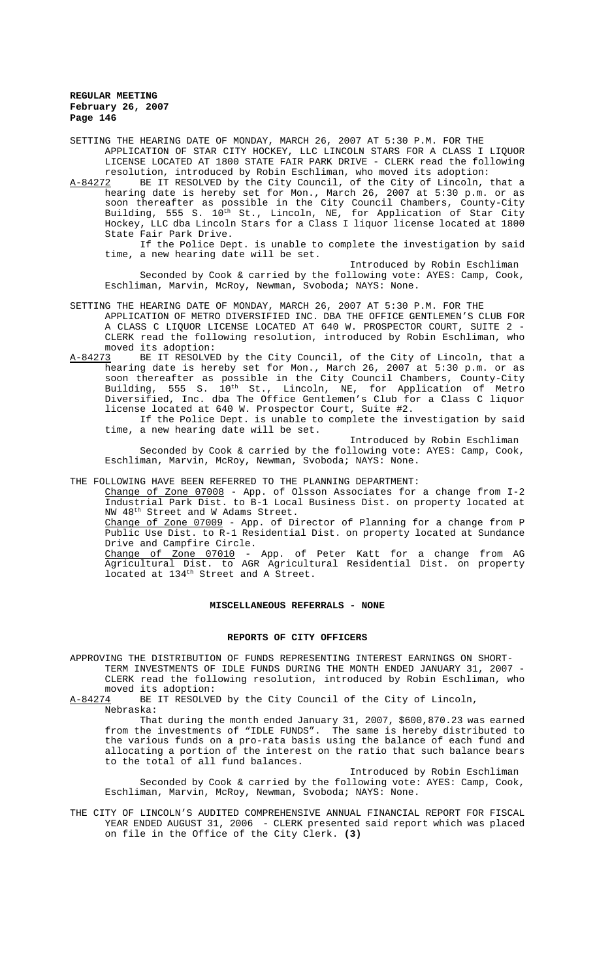SETTING THE HEARING DATE OF MONDAY, MARCH 26, 2007 AT 5:30 P.M. FOR THE APPLICATION OF STAR CITY HOCKEY, LLC LINCOLN STARS FOR A CLASS I LIQUOR LICENSE LOCATED AT 1800 STATE FAIR PARK DRIVE - CLERK read the following

resolution, introduced by Robin Eschliman, who moved its adoption:<br>A-84272 BE IT RESOLVED by the City Council, of the City of Lincoln, A-84272 BE IT RESOLVED by the City Council, of the City of Lincoln, that a hearing date is hereby set for Mon., March 26, 2007 at 5:30 p.m. or as soon thereafter as possible in the City Council Chambers, County-City Building, 555 S. 10<sup>th</sup> St., Lincoln, NE, for Application of Star City Hockey, LLC dba Lincoln Stars for a Class I liquor license located at 1800 State Fair Park Drive.

If the Police Dept. is unable to complete the investigation by said time, a new hearing date will be set.

Introduced by Robin Eschliman Seconded by Cook & carried by the following vote: AYES: Camp, Cook, Eschliman, Marvin, McRoy, Newman, Svoboda; NAYS: None.

SETTING THE HEARING DATE OF MONDAY, MARCH 26, 2007 AT 5:30 P.M. FOR THE

- APPLICATION OF METRO DIVERSIFIED INC. DBA THE OFFICE GENTLEMEN'S CLUB FOR A CLASS C LIQUOR LICENSE LOCATED AT 640 W. PROSPECTOR COURT, SUITE 2 - CLERK read the following resolution, introduced by Robin Eschliman, who moved its adoption:
- A-84273 BE IT RESOLVED by the City Council, of the City of Lincoln, that a hearing date is hereby set for Mon., March 26, 2007 at 5:30 p.m. or as soon thereafter as possible in the City Council Chambers, County-City Building, 555 S. 10<sup>th</sup> St., Lincoln, NE, for Application of Metro Diversified, Inc. dba The Office Gentlemen's Club for a Class C liquor license located at 640 W. Prospector Court, Suite #2.

If the Police Dept. is unable to complete the investigation by said time, a new hearing date will be set.

Introduced by Robin Eschliman

Seconded by Cook & carried by the following vote: AYES: Camp, Cook, Eschliman, Marvin, McRoy, Newman, Svoboda; NAYS: None.

THE FOLLOWING HAVE BEEN REFERRED TO THE PLANNING DEPARTMENT:

Change of Zone 07008 - App. of Olsson Associates for a change from I-2 Industrial Park Dist. to B-1 Local Business Dist. on property located at NW 48<sup>th</sup> Street and W Adams Street.

Change of Zone 07009 - App. of Director of Planning for a change from P Public Use Dist. to R-1 Residential Dist. on property located at Sundance Drive and Campfire Circle.

Change of Zone 07010 - App. of Peter Katt for a change from AG Agricultural Dist. to AGR Agricultural Residential Dist. on property located at 134<sup>th</sup> Street and A Street.

#### **MISCELLANEOUS REFERRALS - NONE**

#### **REPORTS OF CITY OFFICERS**

APPROVING THE DISTRIBUTION OF FUNDS REPRESENTING INTEREST EARNINGS ON SHORT-TERM INVESTMENTS OF IDLE FUNDS DURING THE MONTH ENDED JANUARY 31, 2007 - CLERK read the following resolution, introduced by Robin Eschliman, who moved its adoption:<br>A-84274 BE IT RESOLVE

BE IT RESOLVED by the City Council of the City of Lincoln, Nebraska:

That during the month ended January 31, 2007, \$600,870.23 was earned from the investments of "IDLE FUNDS". The same is hereby distributed to the various funds on a pro-rata basis using the balance of each fund and allocating a portion of the interest on the ratio that such balance bears to the total of all fund balances.

Introduced by Robin Eschliman Seconded by Cook & carried by the following vote: AYES: Camp, Cook, Eschliman, Marvin, McRoy, Newman, Svoboda; NAYS: None.

THE CITY OF LINCOLN'S AUDITED COMPREHENSIVE ANNUAL FINANCIAL REPORT FOR FISCAL YEAR ENDED AUGUST 31, 2006 - CLERK presented said report which was placed on file in the Office of the City Clerk. **(3)**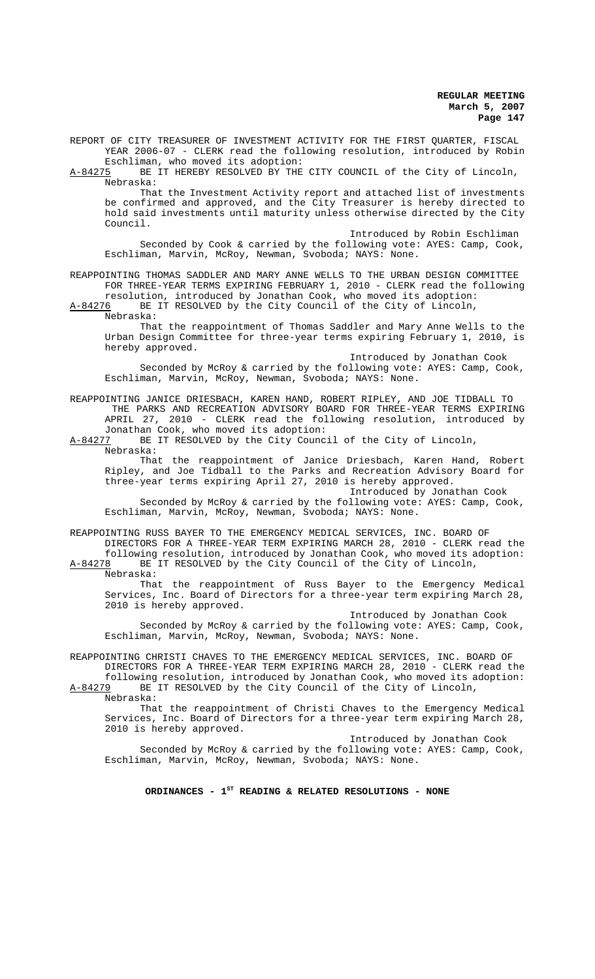REPORT OF CITY TREASURER OF INVESTMENT ACTIVITY FOR THE FIRST QUARTER, FISCAL YEAR 2006-07 - CLERK read the following resolution, introduced by Robin

Eschliman, who moved its adoption:<br>A-84275 BE IT HEREBY RESOLVED BY THE BE IT HEREBY RESOLVED BY THE CITY COUNCIL of the City of Lincoln, Nebraska:

That the Investment Activity report and attached list of investments be confirmed and approved, and the City Treasurer is hereby directed to hold said investments until maturity unless otherwise directed by the City Council.

Introduced by Robin Eschliman

Seconded by Cook & carried by the following vote: AYES: Camp, Cook, Eschliman, Marvin, McRoy, Newman, Svoboda; NAYS: None.

## REAPPOINTING THOMAS SADDLER AND MARY ANNE WELLS TO THE URBAN DESIGN COMMITTEE FOR THREE-YEAR TERMS EXPIRING FEBRUARY 1, 2010 - CLERK read the following resolution, introduced by Jonathan Cook, who moved its adoption:

A-84276 BE IT RESOLVED by the City Council of the City of Lincoln,

Nebraska:

That the reappointment of Thomas Saddler and Mary Anne Wells to the Urban Design Committee for three-year terms expiring February 1, 2010, is hereby approved.

Introduced by Jonathan Cook Seconded by McRoy & carried by the following vote: AYES: Camp, Cook, Eschliman, Marvin, McRoy, Newman, Svoboda; NAYS: None.

# REAPPOINTING JANICE DRIESBACH, KAREN HAND, ROBERT RIPLEY, AND JOE TIDBALL TO THE PARKS AND RECREATION ADVISORY BOARD FOR THREE-YEAR TERMS EXPIRING APRIL 27, 2010 - CLERK read the following resolution, introduced by

Jonathan Cook, who moved its adoption:<br>A-84277 BE IT RESOLVED by the City Counc BE IT RESOLVED by the City Council of the City of Lincoln, Nebraska:

That the reappointment of Janice Driesbach, Karen Hand, Robert Ripley, and Joe Tidball to the Parks and Recreation Advisory Board for three-year terms expiring April 27, 2010 is hereby approved.

#### Introduced by Jonathan Cook

Seconded by McRoy & carried by the following vote: AYES: Camp, Cook, Eschliman, Marvin, McRoy, Newman, Svoboda; NAYS: None.

REAPPOINTING RUSS BAYER TO THE EMERGENCY MEDICAL SERVICES, INC. BOARD OF

DIRECTORS FOR A THREE-YEAR TERM EXPIRING MARCH 28, 2010 - CLERK read the following resolution, introduced by Jonathan Cook, who moved its adoption: A-84278 BE IT RESOLVED by the City Council of the City of Lincoln,

Nebraska:

That the reappointment of Russ Bayer to the Emergency Medical Services, Inc. Board of Directors for a three-year term expiring March 28, 2010 is hereby approved.

Introduced by Jonathan Cook Seconded by McRoy & carried by the following vote: AYES: Camp, Cook, Eschliman, Marvin, McRoy, Newman, Svoboda; NAYS: None.

REAPPOINTING CHRISTI CHAVES TO THE EMERGENCY MEDICAL SERVICES, INC. BOARD OF DIRECTORS FOR A THREE-YEAR TERM EXPIRING MARCH 28, 2010 - CLERK read the

following resolution, introduced by Jonathan Cook, who moved its adoption:<br>A-84279 BE IT RESOLVED by the City Council of the City of Lincoln, BE IT RESOLVED by the City Council of the City of Lincoln, Nebraska:

That the reappointment of Christi Chaves to the Emergency Medical Services, Inc. Board of Directors for a three-year term expiring March 28, 2010 is hereby approved.

Introduced by Jonathan Cook Seconded by McRoy & carried by the following vote: AYES: Camp, Cook, Eschliman, Marvin, McRoy, Newman, Svoboda; NAYS: None.

# ORDINANCES - 1<sup>st</sup> READING & RELATED RESOLUTIONS - NONE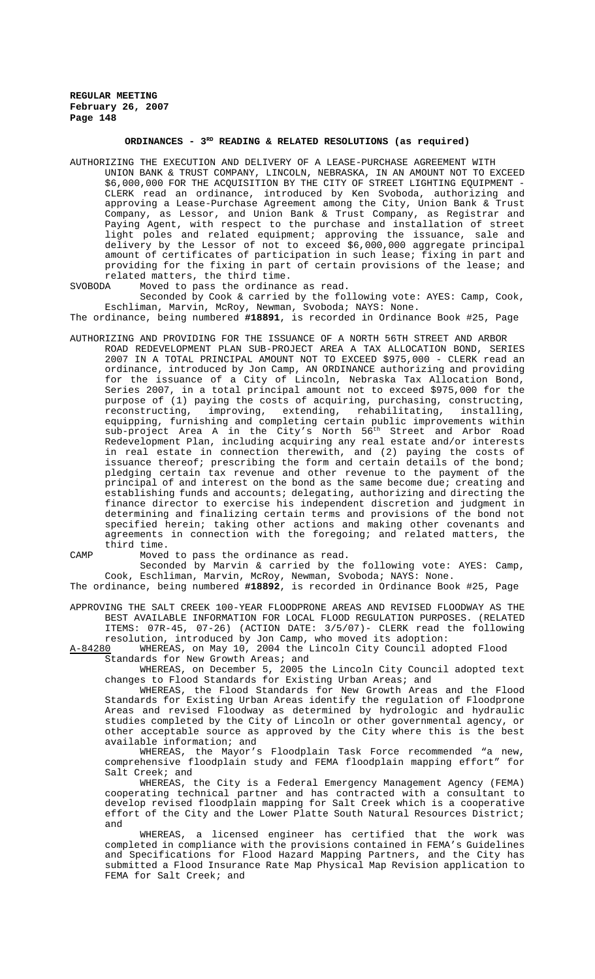# **ORDINANCES - 3RD READING & RELATED RESOLUTIONS (as required)**

AUTHORIZING THE EXECUTION AND DELIVERY OF A LEASE-PURCHASE AGREEMENT WITH UNION BANK & TRUST COMPANY, LINCOLN, NEBRASKA, IN AN AMOUNT NOT TO EXCEED \$6,000,000 FOR THE ACQUISITION BY THE CITY OF STREET LIGHTING EQUIPMENT - CLERK read an ordinance, introduced by Ken Svoboda, authorizing and approving a Lease-Purchase Agreement among the City, Union Bank & Trust Company, as Lessor, and Union Bank & Trust Company, as Registrar and Paying Agent, with respect to the purchase and installation of street light poles and related equipment; approving the issuance, sale and delivery by the Lessor of not to exceed \$6,000,000 aggregate principal amount of certificates of participation in such lease; fixing in part and providing for the fixing in part of certain provisions of the lease; and related matters, the third time.<br>SVOBODA Moved to pass the ordinance

Moved to pass the ordinance as read. Seconded by Cook & carried by the following vote: AYES: Camp, Cook,

Eschliman, Marvin, McRoy, Newman, Svoboda; NAYS: None. The ordinance, being numbered **#18891**, is recorded in Ordinance Book #25, Page

AUTHORIZING AND PROVIDING FOR THE ISSUANCE OF A NORTH 56TH STREET AND ARBOR ROAD REDEVELOPMENT PLAN SUB-PROJECT AREA A TAX ALLOCATION BOND, SERIES 2007 IN A TOTAL PRINCIPAL AMOUNT NOT TO EXCEED \$975,000 - CLERK read an ordinance, introduced by Jon Camp, AN ORDINANCE authorizing and providing for the issuance of a City of Lincoln, Nebraska Tax Allocation Bond, Series 2007, in a total principal amount not to exceed \$975,000 for the purpose of (1) paying the costs of acquiring, purchasing, constructing,<br>reconstructing, improving, extending, rehabilitating, installing, improving, extending, rehabilitating, equipping, furnishing and completing certain public improvements within sub-project Area A in the City's North 56<sup>th</sup> Street and Arbor Road Redevelopment Plan, including acquiring any real estate and/or interests in real estate in connection therewith, and (2) paying the costs of issuance thereof; prescribing the form and certain details of the bond; pledging certain tax revenue and other revenue to the payment of the principal of and interest on the bond as the same become due; creating and establishing funds and accounts; delegating, authorizing and directing the finance director to exercise his independent discretion and judgment in determining and finalizing certain terms and provisions of the bond not specified herein; taking other actions and making other covenants and agreements in connection with the foregoing; and related matters, the third time.

CAMP Moved to pass the ordinance as read.

Seconded by Marvin & carried by the following vote: AYES: Camp, Cook, Eschliman, Marvin, McRoy, Newman, Svoboda; NAYS: None.

The ordinance, being numbered **#18892**, is recorded in Ordinance Book #25, Page

APPROVING THE SALT CREEK 100-YEAR FLOODPRONE AREAS AND REVISED FLOODWAY AS THE BEST AVAILABLE INFORMATION FOR LOCAL FLOOD REGULATION PURPOSES. (RELATED ITEMS: 07R-45, 07-26) (ACTION DATE: 3/5/07)- CLERK read the following resolution, introduced by Jon Camp, who moved its adoption:<br>A-84280 WHEREAS, on May 10, 2004 the Lincoln City Council ado

WHEREAS, on May 10, 2004 the Lincoln City Council adopted Flood Standards for New Growth Areas; and

WHEREAS, on December 5, 2005 the Lincoln City Council adopted text changes to Flood Standards for Existing Urban Areas; and

WHEREAS, the Flood Standards for New Growth Areas and the Flood Standards for Existing Urban Areas identify the regulation of Floodprone Areas and revised Floodway as determined by hydrologic and hydraulic studies completed by the City of Lincoln or other governmental agency, or other acceptable source as approved by the City where this is the best available information; and

WHEREAS, the Mayor's Floodplain Task Force recommended "a new, comprehensive floodplain study and FEMA floodplain mapping effort" for Salt Creek; and

WHEREAS, the City is a Federal Emergency Management Agency (FEMA) cooperating technical partner and has contracted with a consultant to develop revised floodplain mapping for Salt Creek which is a cooperative effort of the City and the Lower Platte South Natural Resources District; and

WHEREAS, a licensed engineer has certified that the work was completed in compliance with the provisions contained in FEMA's Guidelines and Specifications for Flood Hazard Mapping Partners, and the City has submitted a Flood Insurance Rate Map Physical Map Revision application to FEMA for Salt Creek; and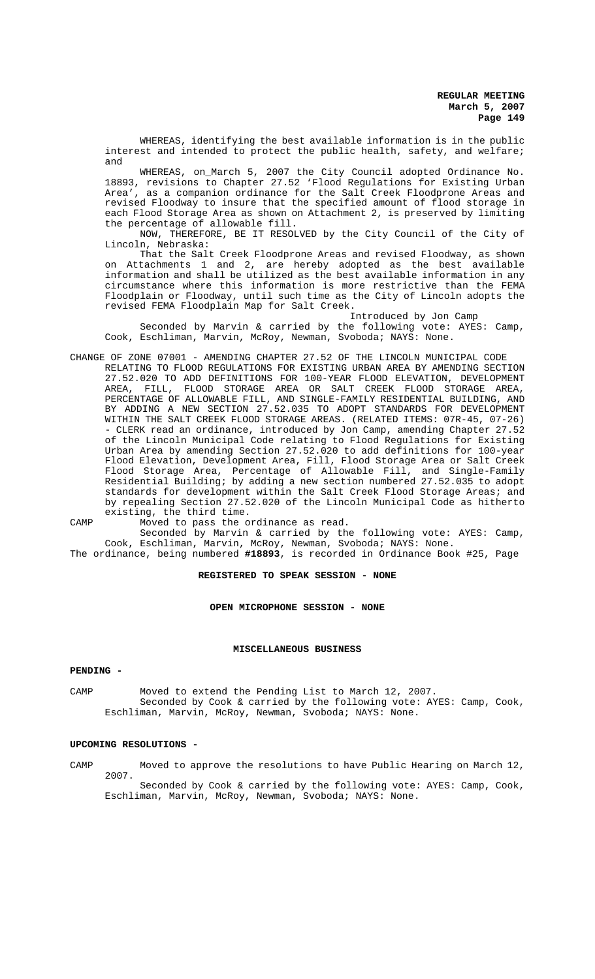WHEREAS, identifying the best available information is in the public interest and intended to protect the public health, safety, and welfare; and

WHEREAS, on\_March 5, 2007 the City Council adopted Ordinance No. 18893, revisions to Chapter 27.52 'Flood Regulations for Existing Urban Area', as a companion ordinance for the Salt Creek Floodprone Areas and revised Floodway to insure that the specified amount of flood storage in each Flood Storage Area as shown on Attachment 2, is preserved by limiting the percentage of allowable fill.

NOW, THEREFORE, BE IT RESOLVED by the City Council of the City of Lincoln, Nebraska:

That the Salt Creek Floodprone Areas and revised Floodway, as shown on Attachments 1 and 2, are hereby adopted as the best available information and shall be utilized as the best available information in any circumstance where this information is more restrictive than the FEMA Floodplain or Floodway, until such time as the City of Lincoln adopts the revised FEMA Floodplain Map for Salt Creek.

Introduced by Jon Camp

Seconded by Marvin & carried by the following vote: AYES: Camp, Cook, Eschliman, Marvin, McRoy, Newman, Svoboda; NAYS: None.

CHANGE OF ZONE 07001 - AMENDING CHAPTER 27.52 OF THE LINCOLN MUNICIPAL CODE RELATING TO FLOOD REGULATIONS FOR EXISTING URBAN AREA BY AMENDING SECTION 27.52.020 TO ADD DEFINITIONS FOR 100-YEAR FLOOD ELEVATION, DEVELOPMENT<br>AREA, FILL, FLOOD STORAGE AREA OR SALT CREEK FLOOD STORAGE AREA, FLOOD STORAGE AREA OR SALT CREEK FLOOD STORAGE AREA, PERCENTAGE OF ALLOWABLE FILL, AND SINGLE-FAMILY RESIDENTIAL BUILDING, AND BY ADDING A NEW SECTION 27.52.035 TO ADOPT STANDARDS FOR DEVELOPMENT WITHIN THE SALT CREEK FLOOD STORAGE AREAS. (RELATED ITEMS: 07R-45, 07-26) - CLERK read an ordinance, introduced by Jon Camp, amending Chapter 27.52 of the Lincoln Municipal Code relating to Flood Regulations for Existing Urban Area by amending Section 27.52.020 to add definitions for 100-year Flood Elevation, Development Area, Fill, Flood Storage Area or Salt Creek Flood Storage Area, Percentage of Allowable Fill, and Single-Family Residential Building; by adding a new section numbered 27.52.035 to adopt standards for development within the Salt Creek Flood Storage Areas; and by repealing Section 27.52.020 of the Lincoln Municipal Code as hitherto existing, the third time.

CAMP Moved to pass the ordinance as read.

Seconded by Marvin & carried by the following vote: AYES: Camp, Cook, Eschliman, Marvin, McRoy, Newman, Svoboda; NAYS: None.

The ordinance, being numbered **#18893**, is recorded in Ordinance Book #25, Page

## **REGISTERED TO SPEAK SESSION - NONE**

# **OPEN MICROPHONE SESSION - NONE**

### **MISCELLANEOUS BUSINESS**

#### **PENDING -**

CAMP Moved to extend the Pending List to March 12, 2007. Seconded by Cook & carried by the following vote: AYES: Camp, Cook, Eschliman, Marvin, McRoy, Newman, Svoboda; NAYS: None.

#### **UPCOMING RESOLUTIONS -**

CAMP Moved to approve the resolutions to have Public Hearing on March 12, 2007.

Seconded by Cook & carried by the following vote: AYES: Camp, Cook, Eschliman, Marvin, McRoy, Newman, Svoboda; NAYS: None.